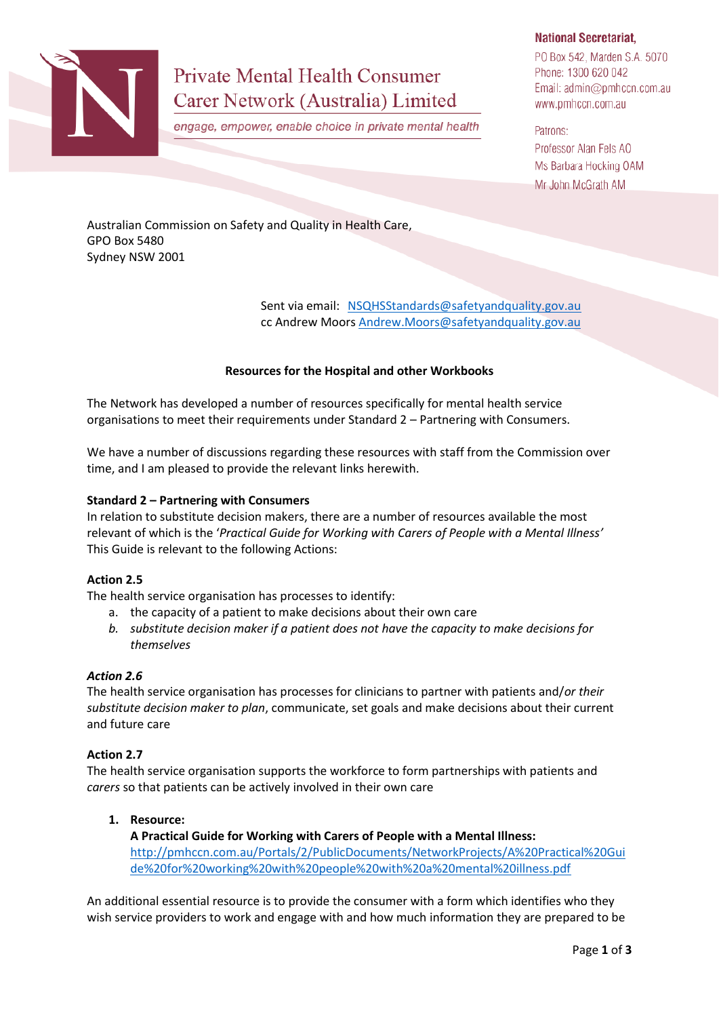

# **Private Mental Health Consumer** Carer Network (Australia) Limited

engage, empower, enable choice in private mental health

# **National Secretariat.**

PO Box 542, Marden S.A. 5070 Phone: 1300 620 042 Email: admin@pmhccn.com.au www.pmhccn.com.au

Patrons: Professor Alan Fels AO Ms Barbara Hocking OAM Mr John McGrath AM

Australian Commission on Safety and Quality in Health Care, GPO Box 5480 Sydney NSW 2001

> Sent via email: [NSQHSStandards@safetyandquality.gov.au](mailto:NSQHSStandards@safetyandquality.gov.au) cc Andrew Moors [Andrew.Moors@safetyandquality.gov.au](mailto:Andrew.Moors@safetyandquality.gov.au)

# **Resources for the Hospital and other Workbooks**

The Network has developed a number of resources specifically for mental health service organisations to meet their requirements under Standard 2 – Partnering with Consumers.

We have a number of discussions regarding these resources with staff from the Commission over time, and I am pleased to provide the relevant links herewith.

### **Standard 2 – Partnering with Consumers**

In relation to substitute decision makers, there are a number of resources available the most relevant of which is the '*Practical Guide for Working with Carers of People with a Mental Illness'* This Guide is relevant to the following Actions:

### **Action 2.5**

The health service organisation has processes to identify:

- a. the capacity of a patient to make decisions about their own care
- *b. substitute decision maker if a patient does not have the capacity to make decisions for themselves*

### *Action 2.6*

The health service organisation has processes for clinicians to partner with patients and/*or their substitute decision maker to plan*, communicate, set goals and make decisions about their current and future care

### **Action 2.7**

The health service organisation supports the workforce to form partnerships with patients and *carers* so that patients can be actively involved in their own care

### **1. Resource:**

**A Practical Guide for Working with Carers of People with a Mental Illness:**  [http://pmhccn.com.au/Portals/2/PublicDocuments/NetworkProjects/A%20Practical%20Gui](http://pmhccn.com.au/Portals/2/PublicDocuments/NetworkProjects/A%20Practical%20Guide%20for%20working%20with%20people%20with%20a%20mental%20illness.pdf) [de%20for%20working%20with%20people%20with%20a%20mental%20illness.pdf](http://pmhccn.com.au/Portals/2/PublicDocuments/NetworkProjects/A%20Practical%20Guide%20for%20working%20with%20people%20with%20a%20mental%20illness.pdf)

An additional essential resource is to provide the consumer with a form which identifies who they wish service providers to work and engage with and how much information they are prepared to be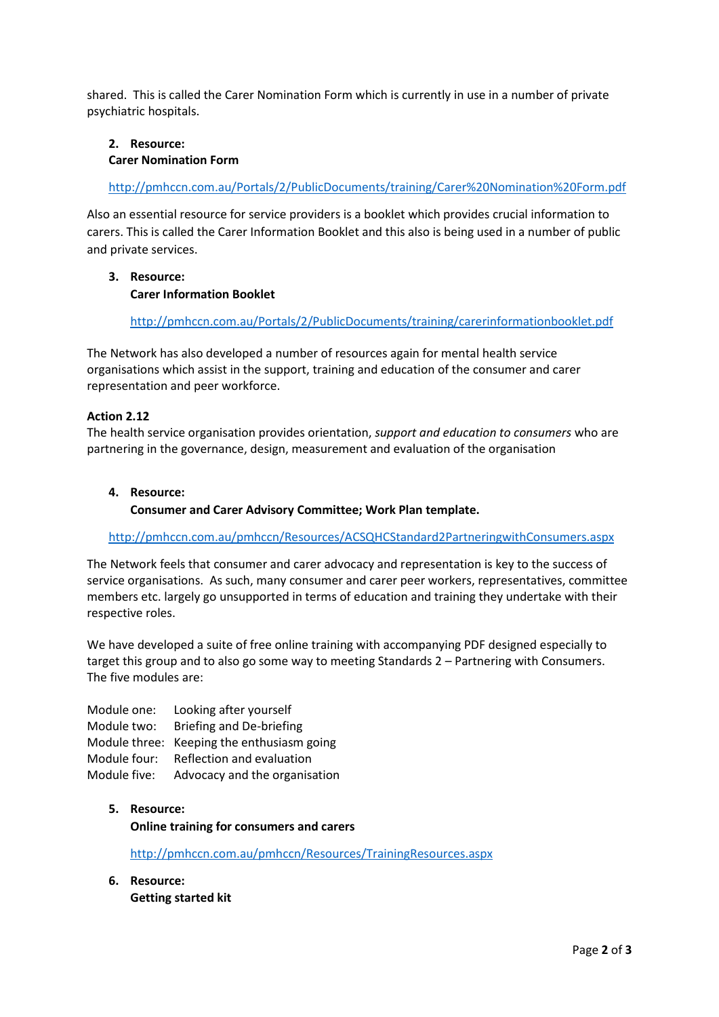shared. This is called the Carer Nomination Form which is currently in use in a number of private psychiatric hospitals.

# **2. Resource: Carer Nomination Form**

<http://pmhccn.com.au/Portals/2/PublicDocuments/training/Carer%20Nomination%20Form.pdf>

Also an essential resource for service providers is a booklet which provides crucial information to carers. This is called the Carer Information Booklet and this also is being used in a number of public and private services.

# **3. Resource: Carer Information Booklet**

<http://pmhccn.com.au/Portals/2/PublicDocuments/training/carerinformationbooklet.pdf>

The Network has also developed a number of resources again for mental health service organisations which assist in the support, training and education of the consumer and carer representation and peer workforce.

# **Action 2.12**

The health service organisation provides orientation, *support and education to consumers* who are partnering in the governance, design, measurement and evaluation of the organisation

# **4. Resource:**

**Consumer and Carer Advisory Committee; Work Plan template.**

<http://pmhccn.com.au/pmhccn/Resources/ACSQHCStandard2PartneringwithConsumers.aspx>

The Network feels that consumer and carer advocacy and representation is key to the success of service organisations. As such, many consumer and carer peer workers, representatives, committee members etc. largely go unsupported in terms of education and training they undertake with their respective roles.

We have developed a suite of free online training with accompanying PDF designed especially to target this group and to also go some way to meeting Standards 2 – Partnering with Consumers. The five modules are:

Module one: Looking after yourself Module two: Briefing and De-briefing Module three: Keeping the enthusiasm going Module four: Reflection and evaluation Module five: Advocacy and the organisation

# **5. Resource:**

**Online training for consumers and carers**

<http://pmhccn.com.au/pmhccn/Resources/TrainingResources.aspx>

**6. Resource: Getting started kit**